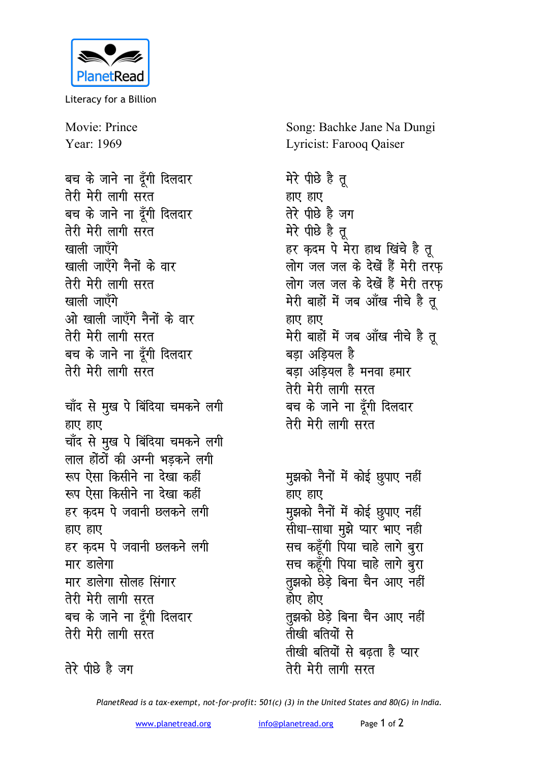

Literacy for a Billion

Movie: Prince Year: 1969

बच के जाने ना दूँगी दिलदार तेरी मेरी लागी सरत बच के जाने ना देंगी दिलदार तेरी मेरी लागी सरत खाली जाएँगे खाली जाएँगे नैनों के वार तेरी मेरी लागी सरत खाली जाएँगे ओ खाली जाएँगे नैनों के वार तेरी मेरी लागी सरत बच के जाने ना दूँगी दिलदार तेरी मेरी लागी सरत चाँद से मुख पे बिंदिया चमकने लगी हाए हाए चाँद से मुख पे बिंदिया चमकने लगी लाल होंठों की अग्नी भडकने लगी रूप ऐसा किसीने ना देखा कहीं रूप ऐसा किसीने ना देखा कहीं हर कदम पे जवानी छलकने लगी हाए हाए हर कदम पे जवानी छलकने लगी मार डालेगा मार डालेगा सोलह सिंगार तेरी मेरी लागी सरत बच के जाने ना दूँगी दिलदार तेरी मेरी लागी सरत

तेरे पीछे है जग

Song: Bachke Jane Na Dungi Lyricist: Farooq Qaiser

मेरे पीछे है तू हाए हाए तेरे पीछे है जग मेरे पीछे है तु हर क़दम पे मेरा हाथ खिंचे है तू लोग जल जल के देखें हैं मेरी तरफ लोग जल जल के देखें हैं मेरी तरफ मेरी बाहों में जब आँख नीचे है तू हाए हाए मेरी बाहों में जब आँख नीचे है तू बड़ा अड़ियल है बड़ा अडियल है मनवा हमार तेरी मेरी लागी सरत बच के जाने ना दूँगी दिलदार तेरी मेरी लागी सरत

मुझको नैनों में कोई छुपाए नहीं हाए हाए मुझको नैनों में कोई छुपाए नहीं सीधा-साधा मुझे प्यार भाए नही सच कहूँगी पिया चाहे लागे बुरा सच कहूँगी पिया चाहे लागे बुरा तुझको छेड़े बिना चैन आए नहीं होए होए तुझको छेड़े बिना चैन आए नहीं तीखी बतियों से तीखी बतियों से बढता है प्यार तेरी मेरी लागी सरत

PlanetRead is a tax-exempt, not-for-profit: 501(c) (3) in the United States and 80(G) in India.